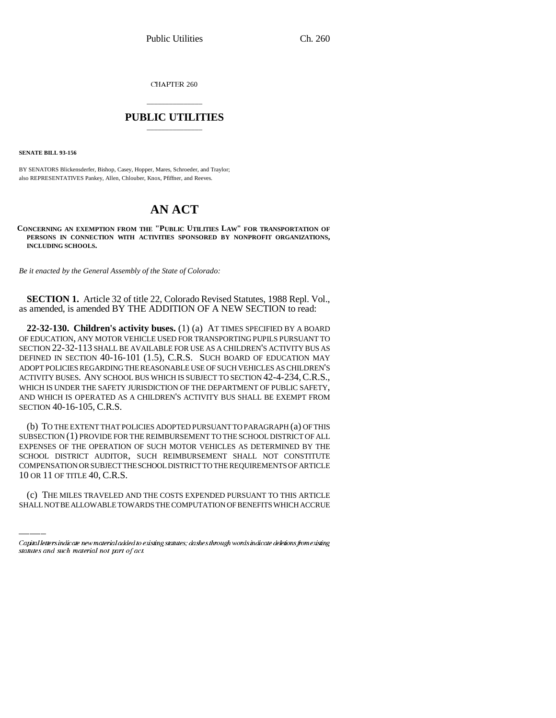CHAPTER 260

## \_\_\_\_\_\_\_\_\_\_\_\_\_\_\_ **PUBLIC UTILITIES** \_\_\_\_\_\_\_\_\_\_\_\_\_\_\_

**SENATE BILL 93-156**

BY SENATORS Blickensderfer, Bishop, Casey, Hopper, Mares, Schroeder, and Traylor; also REPRESENTATIVES Pankey, Allen, Chlouber, Knox, Pfiffner, and Reeves.

## **AN ACT**

**CONCERNING AN EXEMPTION FROM THE "PUBLIC UTILITIES LAW" FOR TRANSPORTATION OF PERSONS IN CONNECTION WITH ACTIVITIES SPONSORED BY NONPROFIT ORGANIZATIONS, INCLUDING SCHOOLS.**

*Be it enacted by the General Assembly of the State of Colorado:*

**SECTION 1.** Article 32 of title 22, Colorado Revised Statutes, 1988 Repl. Vol., as amended, is amended BY THE ADDITION OF A NEW SECTION to read:

**22-32-130. Children's activity buses.** (1) (a) AT TIMES SPECIFIED BY A BOARD OF EDUCATION, ANY MOTOR VEHICLE USED FOR TRANSPORTING PUPILS PURSUANT TO SECTION 22-32-113 SHALL BE AVAILABLE FOR USE AS A CHILDREN'S ACTIVITY BUS AS DEFINED IN SECTION 40-16-101 (1.5), C.R.S. SUCH BOARD OF EDUCATION MAY ADOPT POLICIES REGARDING THE REASONABLE USE OF SUCH VEHICLES AS CHILDREN'S ACTIVITY BUSES. ANY SCHOOL BUS WHICH IS SUBJECT TO SECTION 42-4-234,C.R.S., WHICH IS UNDER THE SAFETY JURISDICTION OF THE DEPARTMENT OF PUBLIC SAFETY, AND WHICH IS OPERATED AS A CHILDREN'S ACTIVITY BUS SHALL BE EXEMPT FROM SECTION 40-16-105, C.R.S.

COMPENSATION OR SUBJECT THE SCHOOL DISTRICT TO THE REQUIREMENTS OF ARTICLE (b) TO THE EXTENT THAT POLICIES ADOPTED PURSUANT TO PARAGRAPH (a) OF THIS SUBSECTION (1) PROVIDE FOR THE REIMBURSEMENT TO THE SCHOOL DISTRICT OF ALL EXPENSES OF THE OPERATION OF SUCH MOTOR VEHICLES AS DETERMINED BY THE SCHOOL DISTRICT AUDITOR, SUCH REIMBURSEMENT SHALL NOT CONSTITUTE 10 OR 11 OF TITLE 40, C.R.S.

(c) THE MILES TRAVELED AND THE COSTS EXPENDED PURSUANT TO THIS ARTICLE SHALL NOT BE ALLOWABLE TOWARDS THE COMPUTATION OF BENEFITS WHICH ACCRUE

Capital letters indicate new material added to existing statutes; dashes through words indicate deletions from existing statutes and such material not part of act.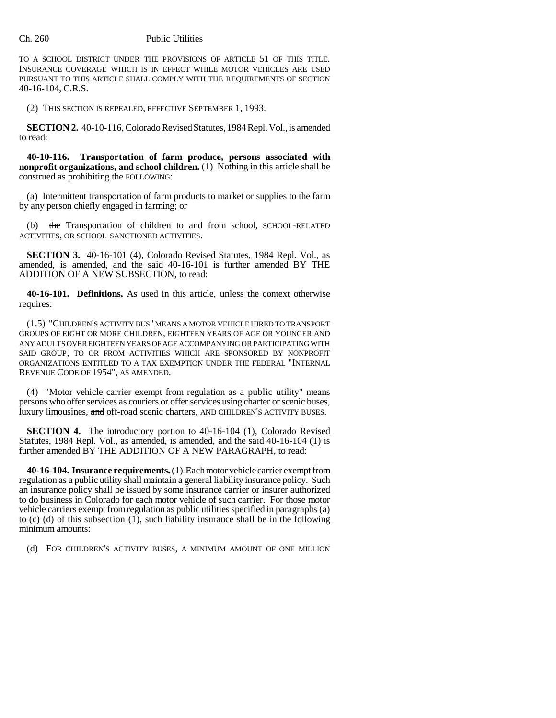## Ch. 260 Public Utilities

TO A SCHOOL DISTRICT UNDER THE PROVISIONS OF ARTICLE 51 OF THIS TITLE. INSURANCE COVERAGE WHICH IS IN EFFECT WHILE MOTOR VEHICLES ARE USED PURSUANT TO THIS ARTICLE SHALL COMPLY WITH THE REQUIREMENTS OF SECTION 40-16-104, C.R.S.

(2) THIS SECTION IS REPEALED, EFFECTIVE SEPTEMBER 1, 1993.

**SECTION 2.** 40-10-116, Colorado Revised Statutes, 1984 Repl. Vol., is amended to read:

**40-10-116. Transportation of farm produce, persons associated with nonprofit organizations, and school children.** (1) Nothing in this article shall be construed as prohibiting the FOLLOWING:

(a) Intermittent transportation of farm products to market or supplies to the farm by any person chiefly engaged in farming; or

(b) the Transportation of children to and from school, SCHOOL-RELATED ACTIVITIES, OR SCHOOL-SANCTIONED ACTIVITIES.

**SECTION 3.** 40-16-101 (4), Colorado Revised Statutes, 1984 Repl. Vol., as amended, is amended, and the said 40-16-101 is further amended BY THE ADDITION OF A NEW SUBSECTION, to read:

**40-16-101. Definitions.** As used in this article, unless the context otherwise requires:

(1.5) "CHILDREN'S ACTIVITY BUS" MEANS A MOTOR VEHICLE HIRED TO TRANSPORT GROUPS OF EIGHT OR MORE CHILDREN, EIGHTEEN YEARS OF AGE OR YOUNGER AND ANY ADULTS OVER EIGHTEEN YEARS OF AGE ACCOMPANYING OR PARTICIPATING WITH SAID GROUP, TO OR FROM ACTIVITIES WHICH ARE SPONSORED BY NONPROFIT ORGANIZATIONS ENTITLED TO A TAX EXEMPTION UNDER THE FEDERAL "INTERNAL REVENUE CODE OF 1954", AS AMENDED.

(4) "Motor vehicle carrier exempt from regulation as a public utility" means persons who offer services as couriers or offer services using charter or scenic buses, luxury limousines, and off-road scenic charters, AND CHILDREN'S ACTIVITY BUSES.

**SECTION 4.** The introductory portion to 40-16-104 (1), Colorado Revised Statutes, 1984 Repl. Vol., as amended, is amended, and the said 40-16-104 (1) is further amended BY THE ADDITION OF A NEW PARAGRAPH, to read:

**40-16-104. Insurance requirements.** (1) Each motor vehicle carrier exempt from regulation as a public utility shall maintain a general liability insurance policy. Such an insurance policy shall be issued by some insurance carrier or insurer authorized to do business in Colorado for each motor vehicle of such carrier. For those motor vehicle carriers exempt from regulation as public utilities specified in paragraphs (a) to  $(\overrightarrow{c})$  (d) of this subsection (1), such liability insurance shall be in the following minimum amounts:

(d) FOR CHILDREN'S ACTIVITY BUSES, A MINIMUM AMOUNT OF ONE MILLION